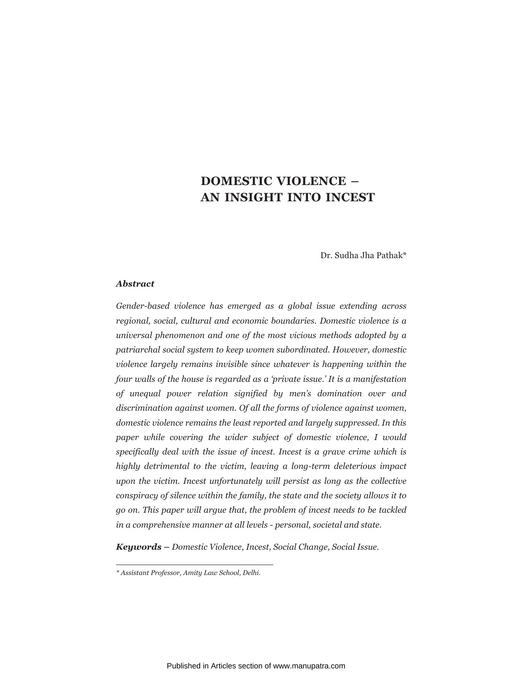Dr. Sudha Jha Pathak\*

#### *Abstract*

*Gender-based violence has emerged as a global issue extending across regional, social, cultural and economic boundaries. Domestic violence is a universal phenomenon and one of the most vicious methods adopted by a patriarchal social system to keep women subordinated. However, domestic violence largely remains invisible since whatever is happening within the four walls of the house is regarded as a 'private issue.' It is a manifestation of unequal power relation signified by men's domination over and discrimination against women. Of all the forms of violence against women, domestic violence remains the least reported and largely suppressed. In this paper while covering the wider subject of domestic violence, I would specifically deal with the issue of incest. Incest is a grave crime which is highly detrimental to the victim, leaving a long-term deleterious impact upon the victim. Incest unfortunately will persist as long as the collective conspiracy of silence within the family, the state and the society allows it to go on. This paper will argue that, the problem of incest needs to be tackled in a comprehensive manner at all levels - personal, societal and state.* 

*Keywords – Domestic Violence, Incest, Social Change, Social Issue.*

*<sup>\*</sup> Assistant Professor, Amity Law School, Delhi.*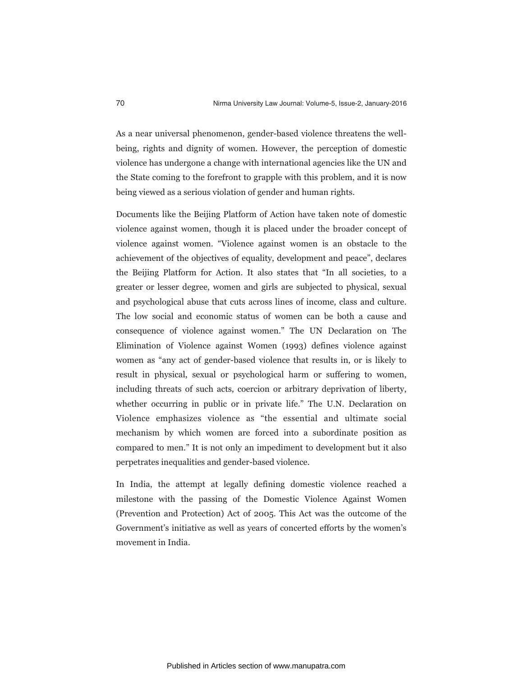As a near universal phenomenon, gender-based violence threatens the wellbeing, rights and dignity of women. However, the perception of domestic violence has undergone a change with international agencies like the UN and the State coming to the forefront to grapple with this problem, and it is now being viewed as a serious violation of gender and human rights.

Documents like the Beijing Platform of Action have taken note of domestic violence against women, though it is placed under the broader concept of violence against women. "Violence against women is an obstacle to the achievement of the objectives of equality, development and peace", declares the Beijing Platform for Action. It also states that "In all societies, to a greater or lesser degree, women and girls are subjected to physical, sexual and psychological abuse that cuts across lines of income, class and culture. The low social and economic status of women can be both a cause and consequence of violence against women." The UN Declaration on The Elimination of Violence against Women (1993) defines violence against women as "any act of gender-based violence that results in, or is likely to result in physical, sexual or psychological harm or suffering to women, including threats of such acts, coercion or arbitrary deprivation of liberty, whether occurring in public or in private life." The U.N. Declaration on Violence emphasizes violence as "the essential and ultimate social mechanism by which women are forced into a subordinate position as compared to men." It is not only an impediment to development but it also perpetrates inequalities and gender-based violence.

In India, the attempt at legally defining domestic violence reached a milestone with the passing of the Domestic Violence Against Women (Prevention and Protection) Act of 2005. This Act was the outcome of the Government's initiative as well as years of concerted efforts by the women's movement in India.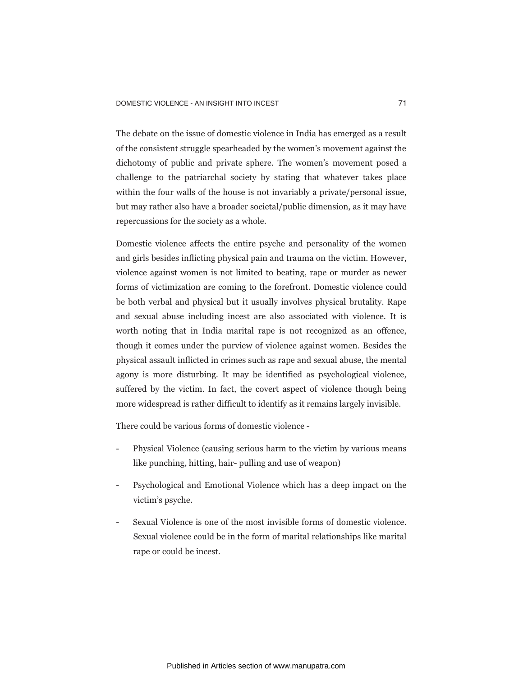The debate on the issue of domestic violence in India has emerged as a result of the consistent struggle spearheaded by the women's movement against the dichotomy of public and private sphere. The women's movement posed a challenge to the patriarchal society by stating that whatever takes place within the four walls of the house is not invariably a private/personal issue, but may rather also have a broader societal/public dimension, as it may have repercussions for the society as a whole.

Domestic violence affects the entire psyche and personality of the women and girls besides inflicting physical pain and trauma on the victim. However, violence against women is not limited to beating, rape or murder as newer forms of victimization are coming to the forefront. Domestic violence could be both verbal and physical but it usually involves physical brutality. Rape and sexual abuse including incest are also associated with violence. It is worth noting that in India marital rape is not recognized as an offence, though it comes under the purview of violence against women. Besides the physical assault inflicted in crimes such as rape and sexual abuse, the mental agony is more disturbing. It may be identified as psychological violence, suffered by the victim. In fact, the covert aspect of violence though being more widespread is rather difficult to identify as it remains largely invisible.

There could be various forms of domestic violence -

- Physical Violence (causing serious harm to the victim by various means like punching, hitting, hair- pulling and use of weapon)
- Psychological and Emotional Violence which has a deep impact on the victim's psyche.
- Sexual Violence is one of the most invisible forms of domestic violence. Sexual violence could be in the form of marital relationships like marital rape or could be incest.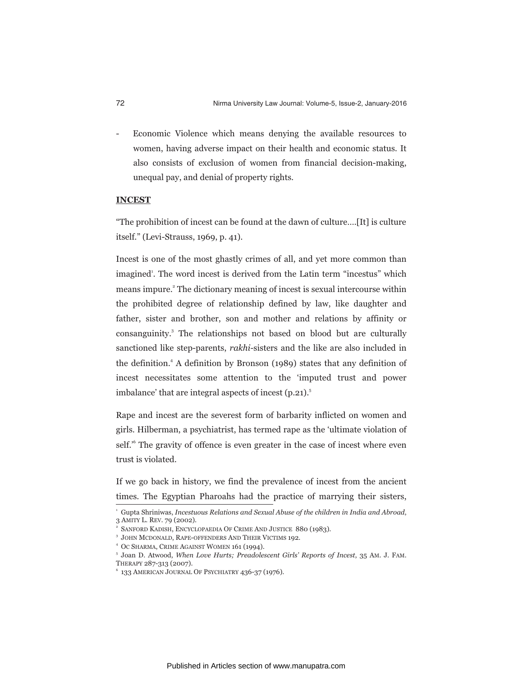Economic Violence which means denying the available resources to women, having adverse impact on their health and economic status. It also consists of exclusion of women from financial decision-making, unequal pay, and denial of property rights.

## **INCEST**

"The prohibition of incest can be found at the dawn of culture….[It] is culture itself." (Levi-Strauss, 1969, p. 41).

Incest is one of the most ghastly crimes of all, and yet more common than imagined'. The word incest is derived from the Latin term "incestus" which means impure.<sup>2</sup> The dictionary meaning of incest is sexual intercourse within the prohibited degree of relationship defined by law, like daughter and father, sister and brother, son and mother and relations by affinity or consanguinity.<sup>3</sup> The relationships not based on blood but are culturally sanctioned like step-parents, *rakhi-*sisters and the like are also included in the definition.<sup>4</sup> A definition by Bronson (1989) states that any definition of incest necessitates some attention to the 'imputed trust and power imbalance' that are integral aspects of incest (p.21).<sup>5</sup>

Rape and incest are the severest form of barbarity inflicted on women and girls. Hilberman, a psychiatrist, has termed rape as the 'ultimate violation of self.<sup>\*</sup> The gravity of offence is even greater in the case of incest where even trust is violated.

If we go back in history, we find the prevalence of incest from the ancient times. The Egyptian Pharoahs had the practice of marrying their sisters,

<sup>1</sup> Gupta Shriniwas, *Incestuous Relations and Sexual Abuse of the children in India and Abroad*, 3 AMITY L. REV. 79 (2002).

<sup>2</sup> SANFORD KADISH, ENCYCLOPAEDIA OF CRIME AND JUSTICE 880 (1983).

<sup>3</sup> JOHN MCDONALD, RAPE-OFFENDERS AND THEIR VICTIMS 192.

<sup>4</sup> OC SHARMA, CRIME AGAINST WOMEN 161 (1994).

<sup>5</sup> Joan D. Atwood, *When Love Hurts; Preadolescent Girls' Reports of Incest*, 35 AM. J. FAM. THERAPY 287-313 (2007).

<sup>6</sup> 133 AMERICAN JOURNAL OF PSYCHIATRY 436-37 (1976).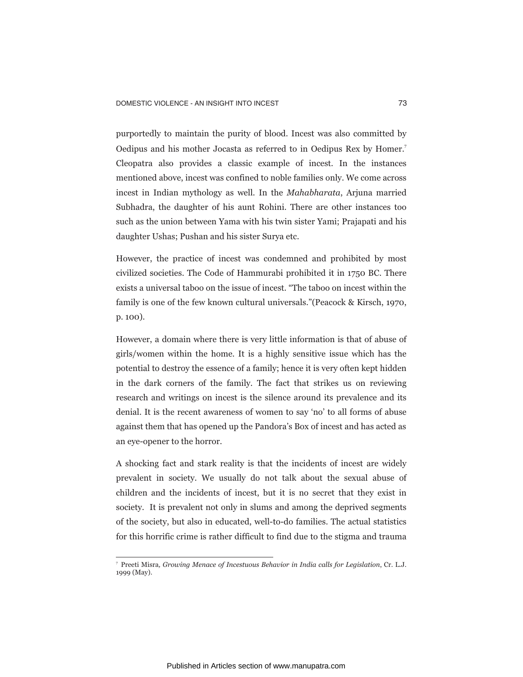purportedly to maintain the purity of blood. Incest was also committed by <sup>7</sup> Oedipus and his mother Jocasta as referred to in Oedipus Rex by Homer. Cleopatra also provides a classic example of incest. In the instances mentioned above, incest was confined to noble families only. We come across incest in Indian mythology as well. In the *Mahabharata*, Arjuna married Subhadra, the daughter of his aunt Rohini. There are other instances too such as the union between Yama with his twin sister Yami; Prajapati and his daughter Ushas; Pushan and his sister Surya etc.

However, the practice of incest was condemned and prohibited by most civilized societies. The Code of Hammurabi prohibited it in 1750 BC. There exists a universal taboo on the issue of incest. "The taboo on incest within the family is one of the few known cultural universals."(Peacock & Kirsch, 1970, p. 100).

However, a domain where there is very little information is that of abuse of girls/women within the home. It is a highly sensitive issue which has the potential to destroy the essence of a family; hence it is very often kept hidden in the dark corners of the family. The fact that strikes us on reviewing research and writings on incest is the silence around its prevalence and its denial. It is the recent awareness of women to say 'no' to all forms of abuse against them that has opened up the Pandora's Box of incest and has acted as an eye-opener to the horror.

A shocking fact and stark reality is that the incidents of incest are widely prevalent in society. We usually do not talk about the sexual abuse of children and the incidents of incest, but it is no secret that they exist in society. It is prevalent not only in slums and among the deprived segments of the society, but also in educated, well-to-do families. The actual statistics for this horrific crime is rather difficult to find due to the stigma and trauma

<sup>7</sup> Preeti Misra*, Growing Menace of Incestuous Behavior in India calls for Legislation*, Cr. L.J. 1999 (May).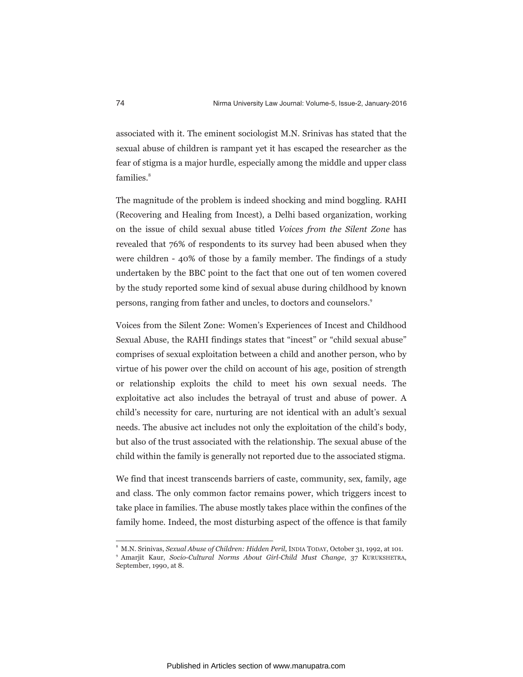associated with it. The eminent sociologist M.N. Srinivas has stated that the sexual abuse of children is rampant yet it has escaped the researcher as the fear of stigma is a major hurdle, especially among the middle and upper class families.<sup>8</sup>

The magnitude of the problem is indeed shocking and mind boggling. RAHI (Recovering and Healing from Incest), a Delhi based organization, working on the issue of child sexual abuse titled *Voices from the Silent Zone* has revealed that 76% of respondents to its survey had been abused when they were children - 40% of those by a family member. The findings of a study undertaken by the BBC point to the fact that one out of ten women covered by the study reported some kind of sexual abuse during childhood by known persons, ranging from father and uncles, to doctors and counselors.<sup>9</sup>

Voices from the Silent Zone: Women's Experiences of Incest and Childhood Sexual Abuse, the RAHI findings states that "incest" or "child sexual abuse" comprises of sexual exploitation between a child and another person, who by virtue of his power over the child on account of his age, position of strength or relationship exploits the child to meet his own sexual needs. The exploitative act also includes the betrayal of trust and abuse of power. A child's necessity for care, nurturing are not identical with an adult's sexual needs. The abusive act includes not only the exploitation of the child's body, but also of the trust associated with the relationship. The sexual abuse of the child within the family is generally not reported due to the associated stigma.

We find that incest transcends barriers of caste, community, sex, family, age and class. The only common factor remains power, which triggers incest to take place in families. The abuse mostly takes place within the confines of the family home. Indeed, the most disturbing aspect of the offence is that family

<sup>8</sup> M.N. Srinivas, *Sexual Abuse of Children: Hidden Peril*, INDIA TODAY, October 31, 1992, at 101. <sup>9</sup> Amarjit Kaur, *Socio-Cultural Norms About Girl-Child Must Change*, 37 KURUKSHETRA, September, 1990, at 8.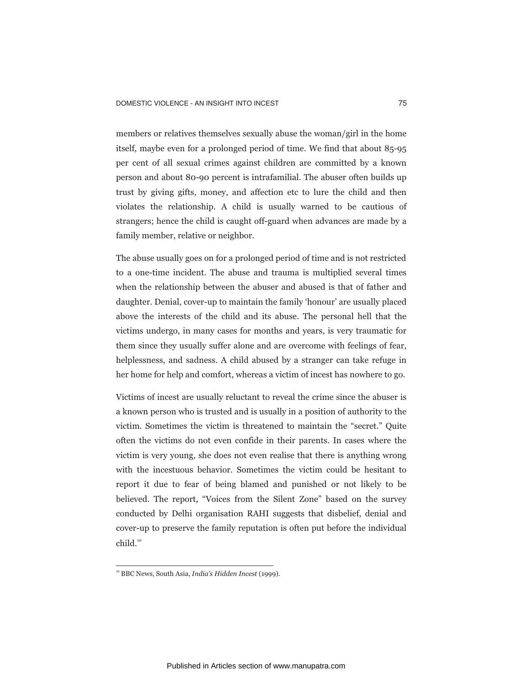members or relatives themselves sexually abuse the woman/girl in the home itself, maybe even for a prolonged period of time. We find that about 85-95 per cent of all sexual crimes against children are committed by a known person and about 80-90 percent is intrafamilial. The abuser often builds up trust by giving gifts, money, and affection etc to lure the child and then violates the relationship. A child is usually warned to be cautious of strangers; hence the child is caught off-guard when advances are made by a family member, relative or neighbor.

The abuse usually goes on for a prolonged period of time and is not restricted to a one-time incident. The abuse and trauma is multiplied several times when the relationship between the abuser and abused is that of father and daughter. Denial, cover-up to maintain the family 'honour' are usually placed above the interests of the child and its abuse. The personal hell that the victims undergo, in many cases for months and years, is very traumatic for them since they usually suffer alone and are overcome with feelings of fear, helplessness, and sadness. A child abused by a stranger can take refuge in her home for help and comfort, whereas a victim of incest has nowhere to go.

Victims of incest are usually reluctant to reveal the crime since the abuser is a known person who is trusted and is usually in a position of authority to the victim. Sometimes the victim is threatened to maintain the "secret." Quite often the victims do not even confide in their parents. In cases where the victim is very young, she does not even realise that there is anything wrong with the incestuous behavior. Sometimes the victim could be hesitant to report it due to fear of being blamed and punished or not likely to be believed. The report, "Voices from the Silent Zone" based on the survey conducted by Delhi organisation RAHI suggests that disbelief, denial and cover-up to preserve the family reputation is often put before the individual child.<sup>10</sup>

<sup>10</sup> BBC News, South Asia, *India's Hidden Incest* (1999)*.*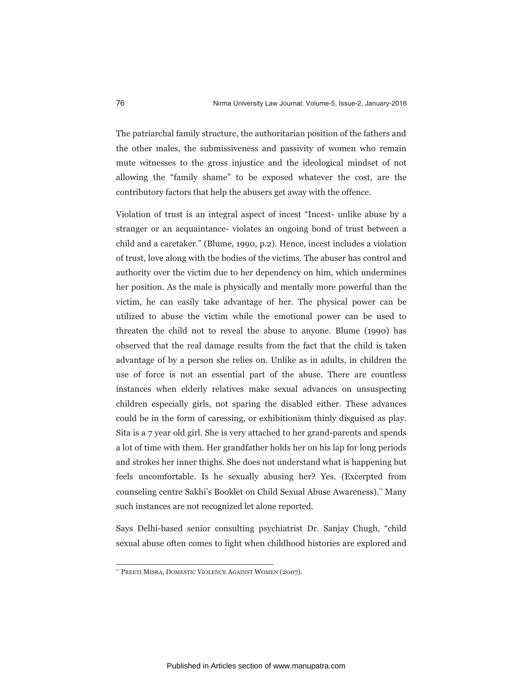The patriarchal family structure, the authoritarian position of the fathers and the other males, the submissiveness and passivity of women who remain mute witnesses to the gross injustice and the ideological mindset of not allowing the "family shame" to be exposed whatever the cost, are the contributory factors that help the abusers get away with the offence.

Violation of trust is an integral aspect of incest "Incest- unlike abuse by a stranger or an acquaintance- violates an ongoing bond of trust between a child and a caretaker." (Blume, 1990, p.2). Hence, incest includes a violation of trust, love along with the bodies of the victims. The abuser has control and authority over the victim due to her dependency on him, which undermines her position. As the male is physically and mentally more powerful than the victim, he can easily take advantage of her. The physical power can be utilized to abuse the victim while the emotional power can be used to threaten the child not to reveal the abuse to anyone. Blume (1990) has observed that the real damage results from the fact that the child is taken advantage of by a person she relies on. Unlike as in adults, in children the use of force is not an essential part of the abuse. There are countless instances when elderly relatives make sexual advances on unsuspecting children especially girls, not sparing the disabled either. These advances could be in the form of caressing, or exhibitionism thinly disguised as play. Sita is a 7 year old girl. She is very attached to her grand-parents and spends a lot of time with them. Her grandfather holds her on his lap for long periods and strokes her inner thighs. She does not understand what is happening but feels uncomfortable. Is he sexually abusing her? Yes. (Excerpted from counseling centre Sakhi's Booklet on Child Sexual Abuse Awareness).<sup>"</sup> Many such instances are not recognized let alone reported.

Says Delhi-based senior consulting psychiatrist Dr. Sanjay Chugh, "child sexual abuse often comes to light when childhood histories are explored and

<sup>&</sup>lt;sup>11</sup> PREETI MISRA, DOMESTIC VIOLENCE AGAINST WOMEN (2007).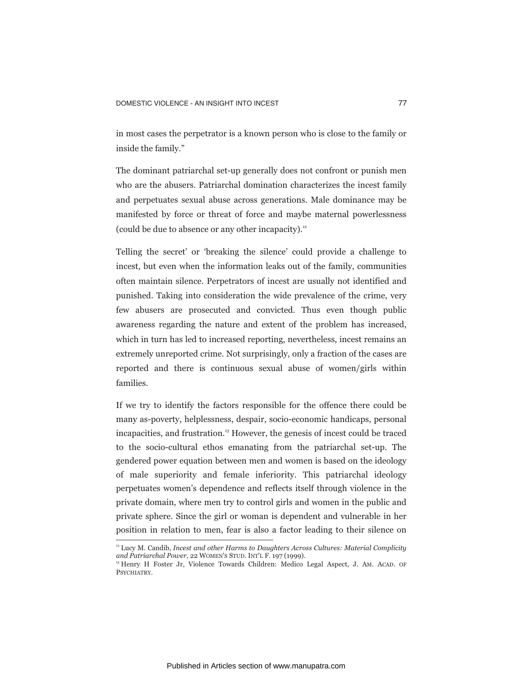in most cases the perpetrator is a known person who is close to the family or inside the family."

The dominant patriarchal set-up generally does not confront or punish men who are the abusers. Patriarchal domination characterizes the incest family and perpetuates sexual abuse across generations. Male dominance may be manifested by force or threat of force and maybe maternal powerlessness (could be due to absence or any other incapacity). $12$ 

Telling the secret' or 'breaking the silence' could provide a challenge to incest, but even when the information leaks out of the family, communities often maintain silence. Perpetrators of incest are usually not identified and punished. Taking into consideration the wide prevalence of the crime, very few abusers are prosecuted and convicted. Thus even though public awareness regarding the nature and extent of the problem has increased, which in turn has led to increased reporting, nevertheless, incest remains an extremely unreported crime. Not surprisingly, only a fraction of the cases are reported and there is continuous sexual abuse of women/girls within families.

If we try to identify the factors responsible for the offence there could be many as-poverty, helplessness, despair, socio-economic handicaps, personal incapacities, and frustration.<sup>13</sup> However, the genesis of incest could be traced to the socio-cultural ethos emanating from the patriarchal set-up. The gendered power equation between men and women is based on the ideology of male superiority and female inferiority. This patriarchal ideology perpetuates women's dependence and reflects itself through violence in the private domain, where men try to control girls and women in the public and private sphere. Since the girl or woman is dependent and vulnerable in her position in relation to men, fear is also a factor leading to their silence on

<sup>&</sup>lt;sup>12</sup> Lucy M. Candib, *Incest and other Harms to Daughters Across Cultures: Material Complicity and Patriarchal Power,* 22 WOMEN'S STUD. INT'L F. 197 (1999).

<sup>13</sup> Henry H Foster Jr, Violence Towards Children: Medico Legal Aspect, J. AM. ACAD. OF PSYCHIATRY.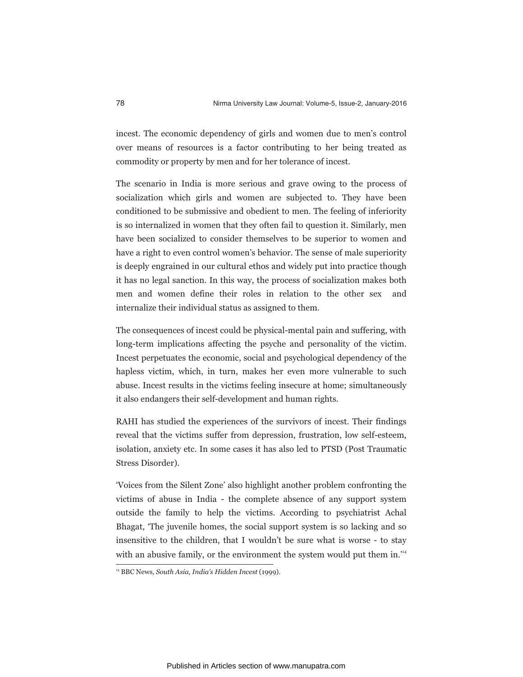incest. The economic dependency of girls and women due to men's control over means of resources is a factor contributing to her being treated as commodity or property by men and for her tolerance of incest.

The scenario in India is more serious and grave owing to the process of socialization which girls and women are subjected to. They have been conditioned to be submissive and obedient to men. The feeling of inferiority is so internalized in women that they often fail to question it. Similarly, men have been socialized to consider themselves to be superior to women and have a right to even control women's behavior. The sense of male superiority is deeply engrained in our cultural ethos and widely put into practice though it has no legal sanction. In this way, the process of socialization makes both men and women define their roles in relation to the other sex and internalize their individual status as assigned to them.

The consequences of incest could be physical-mental pain and suffering, with long-term implications affecting the psyche and personality of the victim. Incest perpetuates the economic, social and psychological dependency of the hapless victim, which, in turn, makes her even more vulnerable to such abuse. Incest results in the victims feeling insecure at home; simultaneously it also endangers their self-development and human rights.

RAHI has studied the experiences of the survivors of incest. Their findings reveal that the victims suffer from depression, frustration, low self-esteem, isolation, anxiety etc. In some cases it has also led to PTSD (Post Traumatic Stress Disorder).

'Voices from the Silent Zone' also highlight another problem confronting the victims of abuse in India - the complete absence of any support system outside the family to help the victims. According to psychiatrist Achal Bhagat, 'The juvenile homes, the social support system is so lacking and so insensitive to the children, that I wouldn't be sure what is worse - to stay with an abusive family, or the environment the system would put them in.<sup>14</sup>

<sup>14</sup> BBC News*, South Asia, India's Hidden Incest* (1999).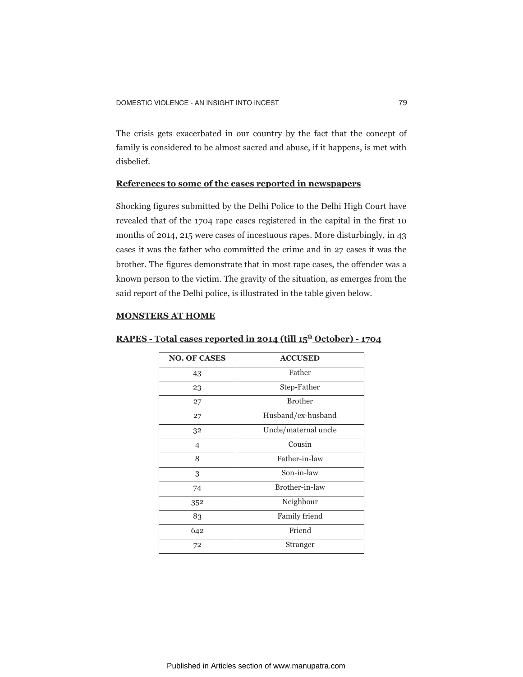The crisis gets exacerbated in our country by the fact that the concept of family is considered to be almost sacred and abuse, if it happens, is met with disbelief.

# **References to some of the cases reported in newspapers**

Shocking figures submitted by the Delhi Police to the Delhi High Court have revealed that of the 1704 rape cases registered in the capital in the first 10 months of 2014, 215 were cases of incestuous rapes. More disturbingly, in 43 cases it was the father who committed the crime and in 27 cases it was the brother. The figures demonstrate that in most rape cases, the offender was a known person to the victim. The gravity of the situation, as emerges from the said report of the Delhi police, is illustrated in the table given below.

#### **MONSTERS AT HOME**

| <b>NO. OF CASES</b> | <b>ACCUSED</b>       |
|---------------------|----------------------|
| 43                  | Father               |
| 23                  | Step-Father          |
| 27                  | <b>Brother</b>       |
| 27                  | Husband/ex-husband   |
| 32                  | Uncle/maternal uncle |
| 4                   | Cousin               |
| 8                   | Father-in-law        |
| 3                   | Son-in-law           |
| 74                  | Brother-in-law       |
| 352                 | Neighbour            |
| 83                  | Family friend        |
| 642                 | Friend               |
| 72                  | Stranger             |

### **RAPES - Total cases reported in 2014 (till 15<sup>th</sup> October) - 1704**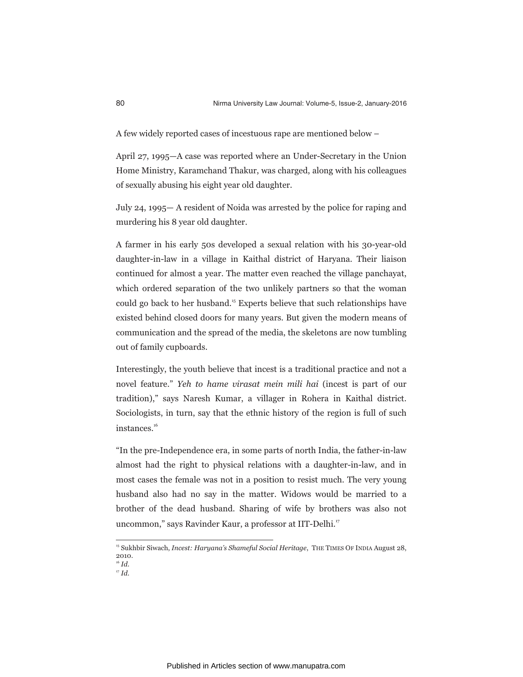A few widely reported cases of incestuous rape are mentioned below –

April 27, 1995—A case was reported where an Under-Secretary in the Union Home Ministry, Karamchand Thakur, was charged, along with his colleagues of sexually abusing his eight year old daughter.

July 24, 1995— A resident of Noida was arrested by the police for raping and murdering his 8 year old daughter.

A farmer in his early 50s developed a sexual relation with his 30-year-old daughter-in-law in a village in Kaithal district of Haryana. Their liaison continued for almost a year. The matter even reached the village panchayat, which ordered separation of the two unlikely partners so that the woman could go back to her husband.<sup>15</sup> Experts believe that such relationships have existed behind closed doors for many years. But given the modern means of communication and the spread of the media, the skeletons are now tumbling out of family cupboards.

Interestingly, the youth believe that incest is a traditional practice and not a novel feature." *Yeh to hame virasat mein mili hai* (incest is part of our tradition)," says Naresh Kumar, a villager in Rohera in Kaithal district. Sociologists, in turn, say that the ethnic history of the region is full of such instances.<sup>16</sup>

"In the pre-Independence era, in some parts of north India, the father-in-law almost had the right to physical relations with a daughter-in-law, and in most cases the female was not in a position to resist much. The very young husband also had no say in the matter. Widows would be married to a brother of the dead husband. Sharing of wife by brothers was also not uncommon," says Ravinder Kaur, a professor at IIT-Delhi.<sup>17</sup>

<sup>15</sup> Sukhbir Siwach, *Incest: Haryana's Shameful Social Heritage*, THE TIMES OF INDIA August 28, 2010. <sup>16</sup> *Id.*

<sup>17</sup> *Id.*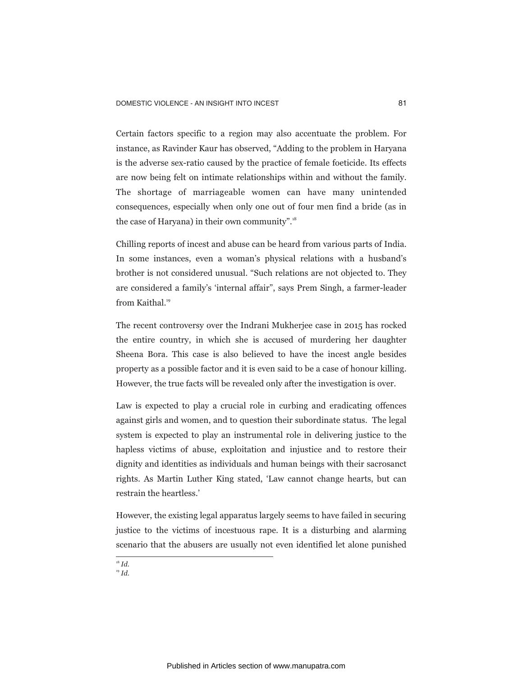Certain factors specific to a region may also accentuate the problem. For instance, as Ravinder Kaur has observed, "Adding to the problem in Haryana is the adverse sex-ratio caused by the practice of female foeticide. Its effects are now being felt on intimate relationships within and without the family. The shortage of marriageable women can have many unintended consequences, especially when only one out of four men find a bride (as in the case of Haryana) in their own community".<sup>18</sup>

Chilling reports of incest and abuse can be heard from various parts of India. In some instances, even a woman's physical relations with a husband's brother is not considered unusual. "Such relations are not objected to. They are considered a family's 'internal affair", says Prem Singh, a farmer-leader from Kaithal.<sup>19</sup>

The recent controversy over the Indrani Mukherjee case in 2015 has rocked the entire country, in which she is accused of murdering her daughter Sheena Bora. This case is also believed to have the incest angle besides property as a possible factor and it is even said to be a case of honour killing. However, the true facts will be revealed only after the investigation is over.

Law is expected to play a crucial role in curbing and eradicating offences against girls and women, and to question their subordinate status. The legal system is expected to play an instrumental role in delivering justice to the hapless victims of abuse, exploitation and injustice and to restore their dignity and identities as individuals and human beings with their sacrosanct rights. As Martin Luther King stated, 'Law cannot change hearts, but can restrain the heartless.'

However, the existing legal apparatus largely seems to have failed in securing justice to the victims of incestuous rape. It is a disturbing and alarming scenario that the abusers are usually not even identified let alone punished

 $^{18}$  *Id.* <sup>19</sup> *Id.*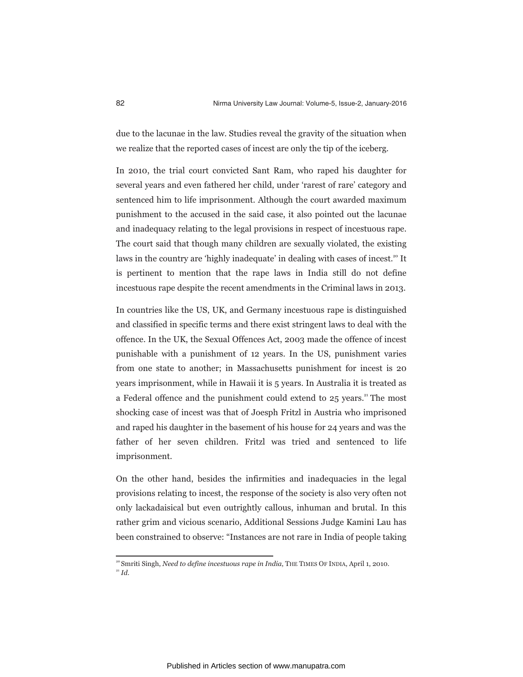due to the lacunae in the law. Studies reveal the gravity of the situation when we realize that the reported cases of incest are only the tip of the iceberg.

In 2010, the trial court convicted Sant Ram, who raped his daughter for several years and even fathered her child, under 'rarest of rare' category and sentenced him to life imprisonment. Although the court awarded maximum punishment to the accused in the said case, it also pointed out the lacunae and inadequacy relating to the legal provisions in respect of incestuous rape. The court said that though many children are sexually violated, the existing laws in the country are 'highly inadequate' in dealing with cases of incest.<sup>20</sup> It is pertinent to mention that the rape laws in India still do not define incestuous rape despite the recent amendments in the Criminal laws in 2013.

In countries like the US, UK, and Germany incestuous rape is distinguished and classified in specific terms and there exist stringent laws to deal with the offence. In the UK, the Sexual Offences Act, 2003 made the offence of incest punishable with a punishment of 12 years. In the US, punishment varies from one state to another; in Massachusetts punishment for incest is 20 years imprisonment, while in Hawaii it is 5 years. In Australia it is treated as a Federal offence and the punishment could extend to 25 years.<sup>21</sup> The most shocking case of incest was that of Joesph Fritzl in Austria who imprisoned and raped his daughter in the basement of his house for 24 years and was the father of her seven children. Fritzl was tried and sentenced to life imprisonment.

On the other hand, besides the infirmities and inadequacies in the legal provisions relating to incest, the response of the society is also very often not only lackadaisical but even outrightly callous, inhuman and brutal. In this rather grim and vicious scenario, Additional Sessions Judge Kamini Lau has been constrained to observe: "Instances are not rare in India of people taking

<sup>&</sup>lt;sup>20</sup> Smriti Singh, *Need to define incestuous rape in India*, THE TIMES OF INDIA, April 1, 2010.  $^{21}$  *Id.*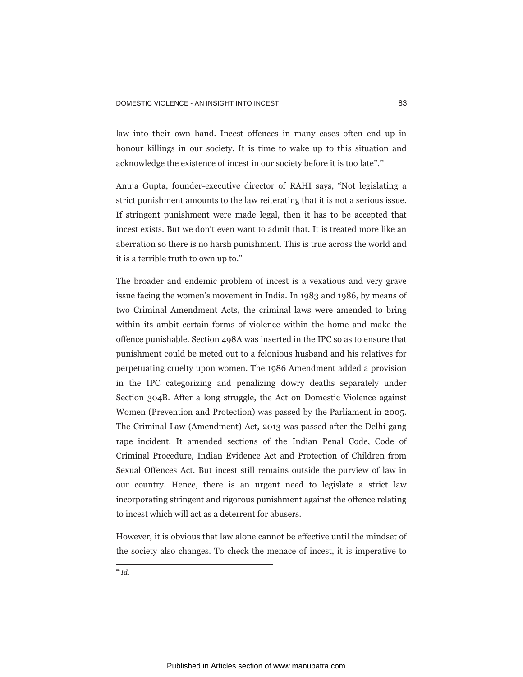law into their own hand. Incest offences in many cases often end up in honour killings in our society. It is time to wake up to this situation and acknowledge the existence of incest in our society before it is too late".<sup>22</sup>

Anuja Gupta, founder-executive director of RAHI says, "Not legislating a strict punishment amounts to the law reiterating that it is not a serious issue. If stringent punishment were made legal, then it has to be accepted that incest exists. But we don't even want to admit that. It is treated more like an aberration so there is no harsh punishment. This is true across the world and it is a terrible truth to own up to."

The broader and endemic problem of incest is a vexatious and very grave issue facing the women's movement in India. In 1983 and 1986, by means of two Criminal Amendment Acts, the criminal laws were amended to bring within its ambit certain forms of violence within the home and make the offence punishable. Section 498A was inserted in the IPC so as to ensure that punishment could be meted out to a felonious husband and his relatives for perpetuating cruelty upon women. The 1986 Amendment added a provision in the IPC categorizing and penalizing dowry deaths separately under Section 304B. After a long struggle, the Act on Domestic Violence against Women (Prevention and Protection) was passed by the Parliament in 2005. The Criminal Law (Amendment) Act, 2013 was passed after the Delhi gang rape incident. It amended sections of the Indian Penal Code, Code of Criminal Procedure, Indian Evidence Act and Protection of Children from Sexual Offences Act. But incest still remains outside the purview of law in our country. Hence, there is an urgent need to legislate a strict law incorporating stringent and rigorous punishment against the offence relating to incest which will act as a deterrent for abusers.

However, it is obvious that law alone cannot be effective until the mindset of the society also changes. To check the menace of incest, it is imperative to

<sup>22</sup> *Id.*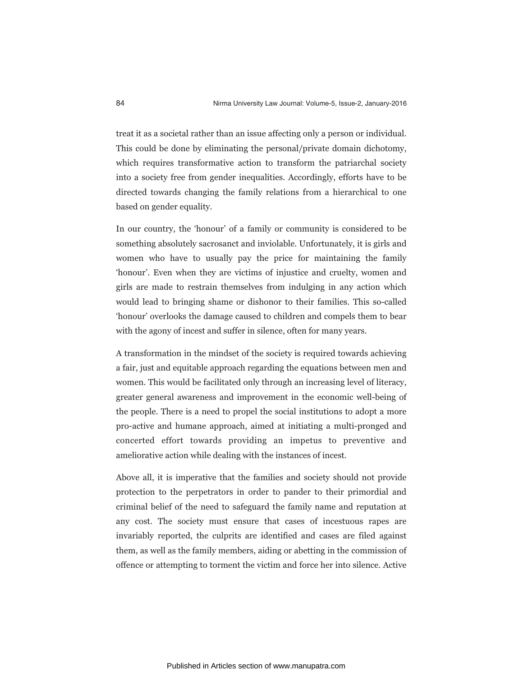treat it as a societal rather than an issue affecting only a person or individual. This could be done by eliminating the personal/private domain dichotomy, which requires transformative action to transform the patriarchal society into a society free from gender inequalities. Accordingly, efforts have to be directed towards changing the family relations from a hierarchical to one based on gender equality.

In our country, the 'honour' of a family or community is considered to be something absolutely sacrosanct and inviolable. Unfortunately, it is girls and women who have to usually pay the price for maintaining the family 'honour'. Even when they are victims of injustice and cruelty, women and girls are made to restrain themselves from indulging in any action which would lead to bringing shame or dishonor to their families. This so-called 'honour' overlooks the damage caused to children and compels them to bear with the agony of incest and suffer in silence, often for many years.

A transformation in the mindset of the society is required towards achieving a fair, just and equitable approach regarding the equations between men and women. This would be facilitated only through an increasing level of literacy, greater general awareness and improvement in the economic well-being of the people. There is a need to propel the social institutions to adopt a more pro-active and humane approach, aimed at initiating a multi-pronged and concerted effort towards providing an impetus to preventive and ameliorative action while dealing with the instances of incest.

Above all, it is imperative that the families and society should not provide protection to the perpetrators in order to pander to their primordial and criminal belief of the need to safeguard the family name and reputation at any cost. The society must ensure that cases of incestuous rapes are invariably reported, the culprits are identified and cases are filed against them, as well as the family members, aiding or abetting in the commission of offence or attempting to torment the victim and force her into silence. Active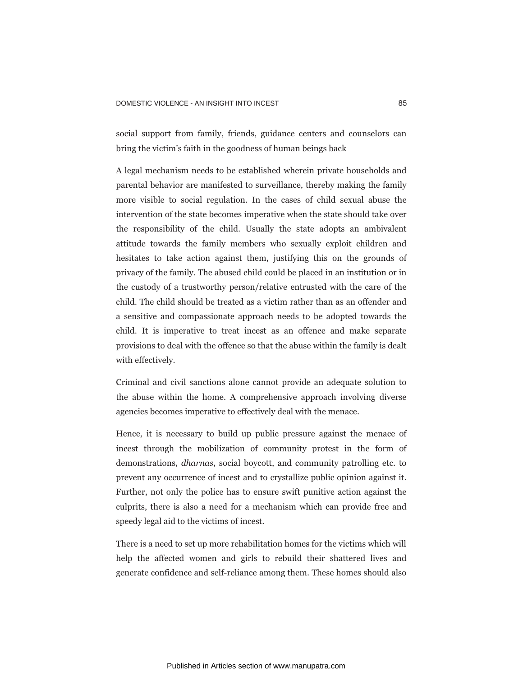social support from family, friends, guidance centers and counselors can bring the victim's faith in the goodness of human beings back

A legal mechanism needs to be established wherein private households and parental behavior are manifested to surveillance, thereby making the family more visible to social regulation. In the cases of child sexual abuse the intervention of the state becomes imperative when the state should take over the responsibility of the child. Usually the state adopts an ambivalent attitude towards the family members who sexually exploit children and hesitates to take action against them, justifying this on the grounds of privacy of the family. The abused child could be placed in an institution or in the custody of a trustworthy person/relative entrusted with the care of the child. The child should be treated as a victim rather than as an offender and a sensitive and compassionate approach needs to be adopted towards the child. It is imperative to treat incest as an offence and make separate provisions to deal with the offence so that the abuse within the family is dealt with effectively.

Criminal and civil sanctions alone cannot provide an adequate solution to the abuse within the home. A comprehensive approach involving diverse agencies becomes imperative to effectively deal with the menace.

Hence, it is necessary to build up public pressure against the menace of incest through the mobilization of community protest in the form of demonstrations, *dharnas*, social boycott, and community patrolling etc. to prevent any occurrence of incest and to crystallize public opinion against it. Further, not only the police has to ensure swift punitive action against the culprits, there is also a need for a mechanism which can provide free and speedy legal aid to the victims of incest.

There is a need to set up more rehabilitation homes for the victims which will help the affected women and girls to rebuild their shattered lives and generate confidence and self-reliance among them. These homes should also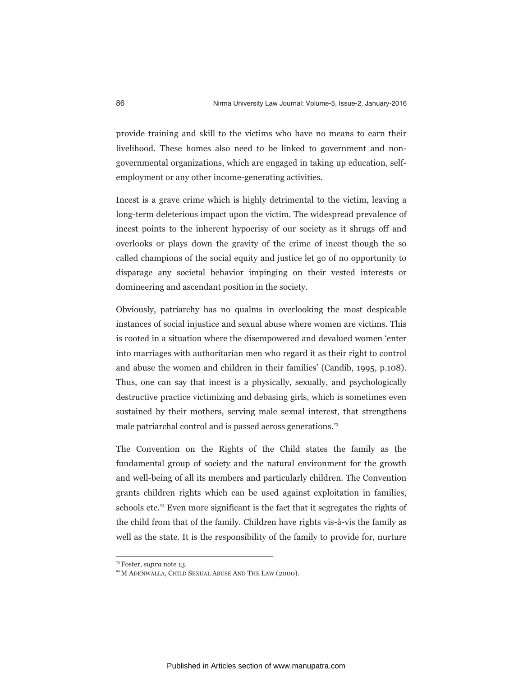provide training and skill to the victims who have no means to earn their livelihood. These homes also need to be linked to government and nongovernmental organizations, which are engaged in taking up education, selfemployment or any other income-generating activities.

Incest is a grave crime which is highly detrimental to the victim, leaving a long-term deleterious impact upon the victim. The widespread prevalence of incest points to the inherent hypocrisy of our society as it shrugs off and overlooks or plays down the gravity of the crime of incest though the so called champions of the social equity and justice let go of no opportunity to disparage any societal behavior impinging on their vested interests or domineering and ascendant position in the society.

Obviously, patriarchy has no qualms in overlooking the most despicable instances of social injustice and sexual abuse where women are victims. This is rooted in a situation where the disempowered and devalued women 'enter into marriages with authoritarian men who regard it as their right to control and abuse the women and children in their families' (Candib, 1995, p.108). Thus, one can say that incest is a physically, sexually, and psychologically destructive practice victimizing and debasing girls, which is sometimes even sustained by their mothers, serving male sexual interest, that strengthens male patriarchal control and is passed across generations.<sup>23</sup>

The Convention on the Rights of the Child states the family as the fundamental group of society and the natural environment for the growth and well-being of all its members and particularly children. The Convention grants children rights which can be used against exploitation in families,  $\alpha$  schools etc.<sup>24</sup> Even more significant is the fact that it segregates the rights of the child from that of the family. Children have rights vis-à-vis the family as well as the state. It is the responsibility of the family to provide for, nurture

<sup>23</sup> Foster, *supra* note 13.

<sup>&</sup>lt;sup>24</sup> M ADENWALLA, CHILD SEXUAL ABUSE AND THE LAW (2000).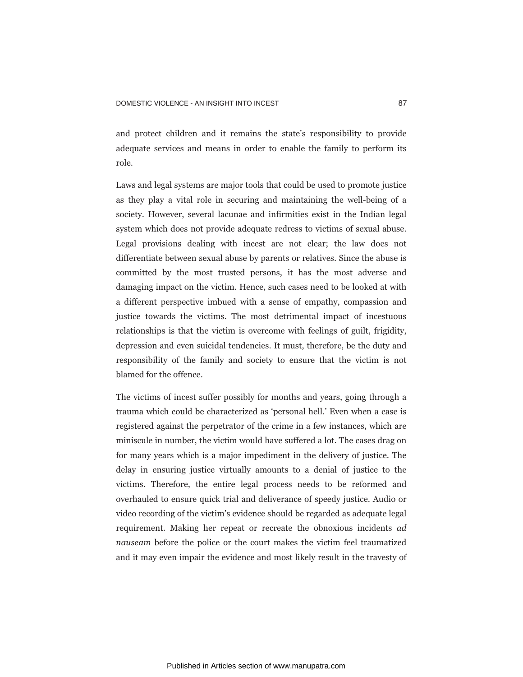and protect children and it remains the state's responsibility to provide adequate services and means in order to enable the family to perform its role.

Laws and legal systems are major tools that could be used to promote justice as they play a vital role in securing and maintaining the well-being of a society. However, several lacunae and infirmities exist in the Indian legal system which does not provide adequate redress to victims of sexual abuse. Legal provisions dealing with incest are not clear; the law does not differentiate between sexual abuse by parents or relatives. Since the abuse is committed by the most trusted persons, it has the most adverse and damaging impact on the victim. Hence, such cases need to be looked at with a different perspective imbued with a sense of empathy, compassion and justice towards the victims. The most detrimental impact of incestuous relationships is that the victim is overcome with feelings of guilt, frigidity, depression and even suicidal tendencies. It must, therefore, be the duty and responsibility of the family and society to ensure that the victim is not blamed for the offence.

The victims of incest suffer possibly for months and years, going through a trauma which could be characterized as 'personal hell.' Even when a case is registered against the perpetrator of the crime in a few instances, which are miniscule in number, the victim would have suffered a lot. The cases drag on for many years which is a major impediment in the delivery of justice. The delay in ensuring justice virtually amounts to a denial of justice to the victims. Therefore, the entire legal process needs to be reformed and overhauled to ensure quick trial and deliverance of speedy justice. Audio or video recording of the victim's evidence should be regarded as adequate legal requirement. Making her repeat or recreate the obnoxious incidents *ad nauseam* before the police or the court makes the victim feel traumatized and it may even impair the evidence and most likely result in the travesty of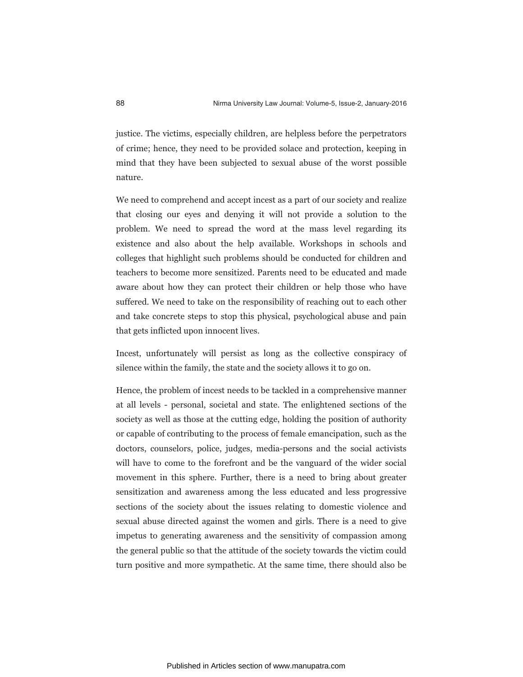justice. The victims, especially children, are helpless before the perpetrators of crime; hence, they need to be provided solace and protection, keeping in mind that they have been subjected to sexual abuse of the worst possible nature.

We need to comprehend and accept incest as a part of our society and realize that closing our eyes and denying it will not provide a solution to the problem. We need to spread the word at the mass level regarding its existence and also about the help available. Workshops in schools and colleges that highlight such problems should be conducted for children and teachers to become more sensitized. Parents need to be educated and made aware about how they can protect their children or help those who have suffered. We need to take on the responsibility of reaching out to each other and take concrete steps to stop this physical, psychological abuse and pain that gets inflicted upon innocent lives.

Incest, unfortunately will persist as long as the collective conspiracy of silence within the family, the state and the society allows it to go on.

Hence, the problem of incest needs to be tackled in a comprehensive manner at all levels - personal, societal and state. The enlightened sections of the society as well as those at the cutting edge, holding the position of authority or capable of contributing to the process of female emancipation, such as the doctors, counselors, police, judges, media-persons and the social activists will have to come to the forefront and be the vanguard of the wider social movement in this sphere. Further, there is a need to bring about greater sensitization and awareness among the less educated and less progressive sections of the society about the issues relating to domestic violence and sexual abuse directed against the women and girls. There is a need to give impetus to generating awareness and the sensitivity of compassion among the general public so that the attitude of the society towards the victim could turn positive and more sympathetic. At the same time, there should also be